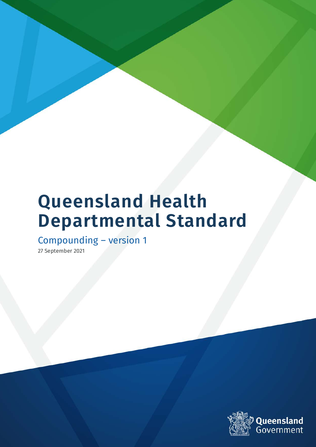# **Queensland Health Departmental Standard**

Compounding – version 1

27 September 2021

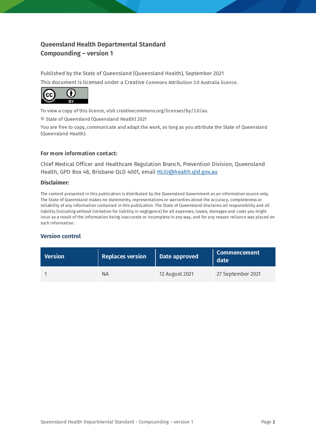#### **Queensland Health Departmental Standard Compounding – version 1**

Published by the State of Queensland (Queensland Health), September 2021 This document is licensed under a Creative Commons Attribution 3.0 Australia licence.



To view a copy of this licence, visit creativecommons.org/licenses/by/3.0/au

© State of Queensland (Queensland Health) 2021

You are free to copy, communicate and adapt the work, as long as you attribute the State of Queensland (Queensland Health).

#### **For more information contact:**

Chief Medical Officer and Healthcare Regulation Branch, Prevention Division, Queensland Health, GPO Box 48, Brisbane QLD 4001, email **HLIU@health.gld.gov.au** 

#### **Disclaimer:**

The content presented in this publication is distributed by the Queensland Government as an information source only. The State of Queensland makes no statements, representations or warranties about the accuracy, completeness or reliability of any information contained in this publication. The State of Queensland disclaims all responsibility and all liability (including without limitation for liability in negligence) for all expenses, losses, damages and costs you might incur as a result of the information being inaccurate or incomplete in any way, and for any reason reliance was placed on such information.

#### **Version control**

| <b>Version</b> | <b>Replaces version</b> | Date approved  | <b>Commencement</b><br>date |
|----------------|-------------------------|----------------|-----------------------------|
|                | ΝA                      | 12 August 2021 | 27 September 2021           |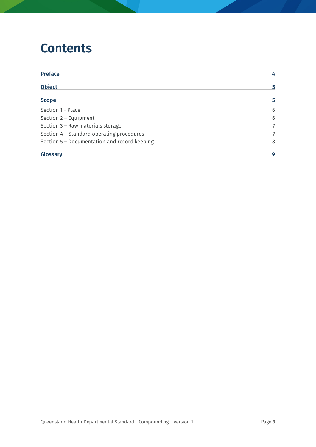## **Contents**

| <b>Preface</b>                               | 4              |
|----------------------------------------------|----------------|
| <b>Object</b>                                | 5              |
| <b>Scope</b>                                 | 5              |
| Section 1 - Place                            | 6              |
| Section $2$ – Equipment                      | 6              |
| Section 3 - Raw materials storage            | $\overline{7}$ |
| Section 4 - Standard operating procedures    | 7              |
| Section 5 - Documentation and record keeping | 8              |
| Glossary                                     | 9              |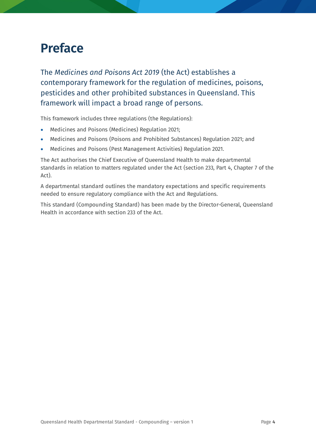## <span id="page-3-0"></span>**Preface**

The *Medicines and Poisons Act 2019* (the Act) establishes a contemporary framework for the regulation of medicines, poisons, pesticides and other prohibited substances in Queensland. This framework will impact a broad range of persons.

This framework includes three regulations (the Regulations):

- Medicines and Poisons (Medicines) Regulation 2021;
- Medicines and Poisons (Poisons and Prohibited Substances) Regulation 2021; and
- Medicines and Poisons (Pest Management Activities) Regulation 2021.

The Act authorises the Chief Executive of Queensland Health to make departmental standards in relation to matters regulated under the Act (section 233, Part 4, Chapter 7 of the Act).

A departmental standard outlines the mandatory expectations and specific requirements needed to ensure regulatory compliance with the Act and Regulations.

This standard (Compounding Standard) has been made by the Director-General, Queensland Health in accordance with section 233 of the Act.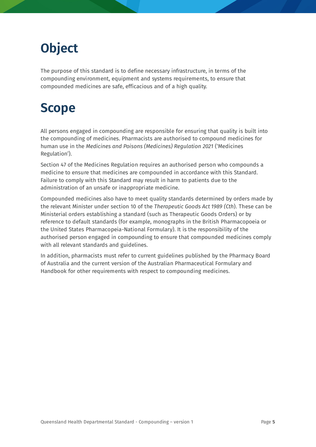# <span id="page-4-0"></span>**Object**

The purpose of this standard is to define necessary infrastructure, in terms of the compounding environment, equipment and systems requirements, to ensure that compounded medicines are safe, efficacious and of a high quality.

# <span id="page-4-1"></span>**Scope**

All persons engaged in compounding are responsible for ensuring that quality is built into the compounding of medicines. Pharmacists are authorised to compound medicines for human use in the *Medicines and Poisons (Medicines) Regulation 2021* ('Medicines Regulation').

Section 47 of the Medicines Regulation requires an authorised person who compounds a medicine to ensure that medicines are compounded in accordance with this Standard. Failure to comply with this Standard may result in harm to patients due to the administration of an unsafe or inappropriate medicine.

Compounded medicines also have to meet quality standards determined by orders made by the relevant Minister under section 10 of the *[Therapeutic Goods Act 1989](http://www.comlaw.gov.au/Details/C2014C00410) (Cth*). These can be Ministerial orders establishing a standard (such as Therapeutic Goods Orders) or by reference to default standards (for example, monographs in the British Pharmacopoeia or the United States Pharmacopeia-National Formulary). It is the responsibility of the authorised person engaged in compounding to ensure that compounded medicines comply with all relevant standards and guidelines.

In addition, pharmacists must refer to current guidelines published by the Pharmacy Board of Australia and the current version of the Australian Pharmaceutical Formulary and Handbook for other requirements with respect to compounding medicines.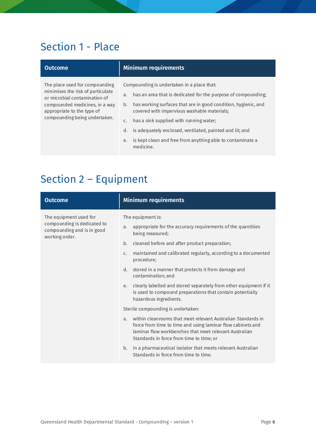#### Section 1 - Place

The place used for compounding minimises the risk of particulate or microbial contamination of compounded medicines, in a way appropriate to the type of compounding being undertaken.

#### **Outcome Minimum requirements**

<span id="page-5-0"></span>Compounding is undertaken in a place that:

- a. has an area that is dedicated for the purpose of compounding;
- b. has working surfaces that are in good condition, hygienic, and covered with impervious washable materials;
- c. has a sink supplied with running water;
- d. is adequately enclosed, ventilated, painted and lit; and
- e. is kept clean and free from anything able to contaminate a medicine.

### <span id="page-5-1"></span>Section 2 – Equipment

| <b>Outcome</b>                                                                                        | <b>Minimum requirements</b>                                                                                                                                                                                                                                                                                                                                                                                                                                                                                                                                                                                                                                                                                                                                                                                                                                                                                                       |
|-------------------------------------------------------------------------------------------------------|-----------------------------------------------------------------------------------------------------------------------------------------------------------------------------------------------------------------------------------------------------------------------------------------------------------------------------------------------------------------------------------------------------------------------------------------------------------------------------------------------------------------------------------------------------------------------------------------------------------------------------------------------------------------------------------------------------------------------------------------------------------------------------------------------------------------------------------------------------------------------------------------------------------------------------------|
| The equipment used for<br>compounding is dedicated to<br>compounding and is in good<br>working order. | The equipment is:<br>appropriate for the accuracy requirements of the quantities<br>a.<br>being measured;<br>b.<br>cleaned before and after product preparation;<br>maintained and calibrated regularly, according to a documented<br>$C_{\star}$<br>procedure;<br>stored in a manner that protects it from damage and<br>d.<br>contamination; and<br>clearly labelled and stored separately from other equipment if it<br>e.<br>is used to compound preparations that contain potentially<br>hazardous ingredients.<br>Sterile compounding is undertaken:<br>within cleanrooms that meet relevant Australian Standards in<br>$\overline{a}$ .<br>force from time to time and using laminar flow cabinets and<br>laminar flow workbenches that meet relevant Australian<br>Standards in force from time to time; or<br>in a pharmaceutical isolator that meets relevant Australian<br>b.<br>Standards in force from time to time. |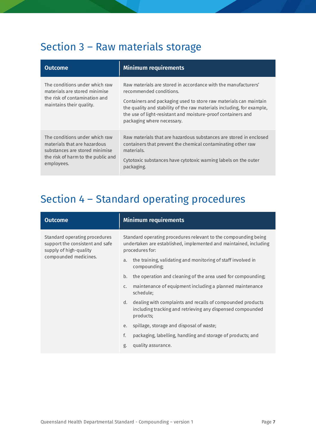## <span id="page-6-0"></span>Section 3 – Raw materials storage

| <b>Outcome</b>                                                                                                                                       | Minimum requirements                                                                                                                                                                                                                                                                                                                   |
|------------------------------------------------------------------------------------------------------------------------------------------------------|----------------------------------------------------------------------------------------------------------------------------------------------------------------------------------------------------------------------------------------------------------------------------------------------------------------------------------------|
| The conditions under which raw<br>materials are stored minimise<br>the risk of contamination and<br>maintains their quality.                         | Raw materials are stored in accordance with the manufacturers'<br>recommended conditions.<br>Containers and packaging used to store raw materials can maintain<br>the quality and stability of the raw materials including, for example,<br>the use of light-resistant and moisture-proof containers and<br>packaging where necessary. |
| The conditions under which raw<br>materials that are hazardous<br>substances are stored minimise<br>the risk of harm to the public and<br>employees. | Raw materials that are hazardous substances are stored in enclosed<br>containers that prevent the chemical contaminating other raw<br>materials.<br>Cytotoxic substances have cytotoxic warning labels on the outer<br>packaging.                                                                                                      |

## <span id="page-6-1"></span>Section 4 – Standard operating procedures

| <b>Outcome</b>                                                                                                      | <b>Minimum requirements</b>                                                                                                                             |
|---------------------------------------------------------------------------------------------------------------------|---------------------------------------------------------------------------------------------------------------------------------------------------------|
| Standard operating procedures<br>support the consistent and safe<br>supply of high-quality<br>compounded medicines. | Standard operating procedures relevant to the compounding being<br>undertaken are established, implemented and maintained, including<br>procedures for: |
|                                                                                                                     | the training, validating and monitoring of staff involved in<br>a.<br>compounding;                                                                      |
|                                                                                                                     | the operation and cleaning of the area used for compounding;<br>b.                                                                                      |
|                                                                                                                     | maintenance of equipment including a planned maintenance<br>$\mathsf{C}$ .<br>schedule;                                                                 |
|                                                                                                                     | dealing with complaints and recalls of compounded products<br>d.<br>including tracking and retrieving any dispensed compounded<br>products;             |
|                                                                                                                     | spillage, storage and disposal of waste;<br>e.                                                                                                          |
|                                                                                                                     | f.<br>packaging, labelling, handling and storage of products; and                                                                                       |
|                                                                                                                     | quality assurance.<br>g.                                                                                                                                |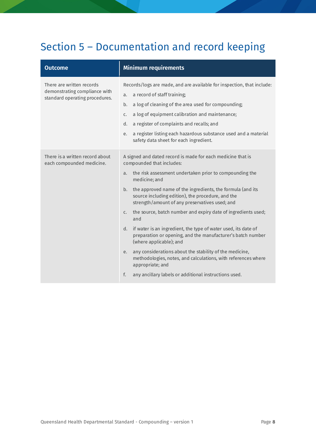## <span id="page-7-0"></span>Section 5 – Documentation and record keeping

| <b>Outcome</b>                                                                               | <b>Minimum requirements</b>                                                                                                                                                                                                                                                                                                                                                                                                                                                                                                                                                                                                                                                                                                                                                                                                         |
|----------------------------------------------------------------------------------------------|-------------------------------------------------------------------------------------------------------------------------------------------------------------------------------------------------------------------------------------------------------------------------------------------------------------------------------------------------------------------------------------------------------------------------------------------------------------------------------------------------------------------------------------------------------------------------------------------------------------------------------------------------------------------------------------------------------------------------------------------------------------------------------------------------------------------------------------|
| There are written records<br>demonstrating compliance with<br>standard operating procedures. | Records/logs are made, and are available for inspection, that include:<br>a record of staff training;<br>a.<br>a log of cleaning of the area used for compounding;<br>b.<br>a log of equipment calibration and maintenance;<br>$C_{\star}$<br>a register of complaints and recalls; and<br>d.<br>a register listing each hazardous substance used and a material<br>e.<br>safety data sheet for each ingredient.                                                                                                                                                                                                                                                                                                                                                                                                                    |
| There is a written record about<br>each compounded medicine.                                 | A signed and dated record is made for each medicine that is<br>compounded that includes:<br>the risk assessment undertaken prior to compounding the<br>a.<br>medicine; and<br>the approved name of the ingredients, the formula (and its<br>b.<br>source including edition), the procedure, and the<br>strength/amount of any preservatives used; and<br>the source, batch number and expiry date of ingredients used;<br>$C_{\star}$<br>and<br>if water is an ingredient, the type of water used, its date of<br>d.<br>preparation or opening, and the manufacturer's batch number<br>(where applicable); and<br>any considerations about the stability of the medicine,<br>e.<br>methodologies, notes, and calculations, with references where<br>appropriate; and<br>f.<br>any ancillary labels or additional instructions used. |